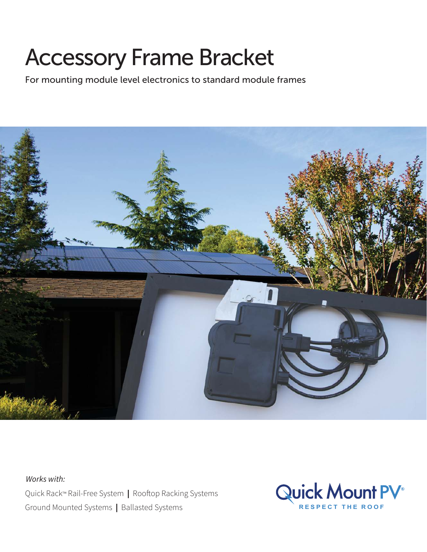## Accessory Frame Bracket

For mounting module level electronics to standard module frames



Quick Rack™ Rail-Free System | Rooftop Racking Systems Ground Mounted Systems | Ballasted Systems **RESPECT THE ROOF** Works with:

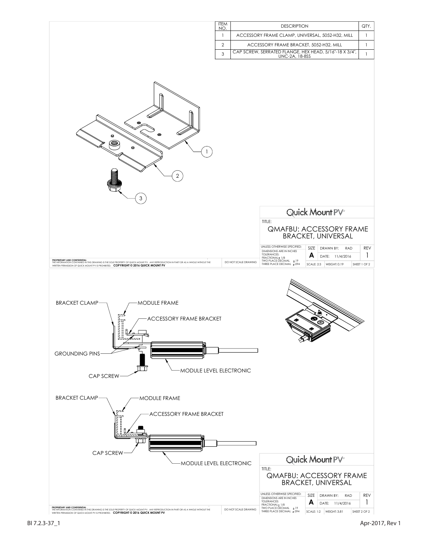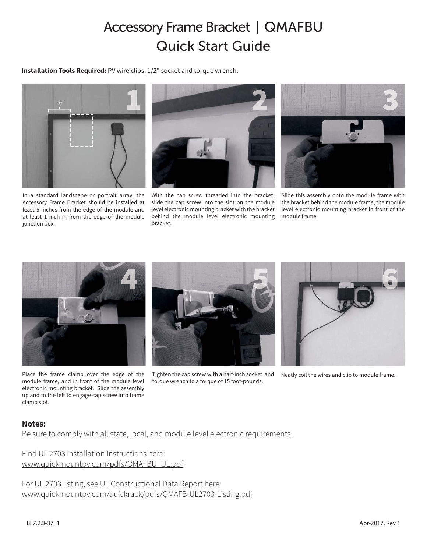## Accessory Frame Bracket | QMAFBU Quick Start Guide

**Installation Tools Required:** PV wire clips, 1/2" socket and torque wrench.



In a standard landscape or portrait array, the Accessory Frame Bracket should be installed at least 5 inches from the edge of the module and at least 1 inch in from the edge of the module junction box.



With the cap screw threaded into the bracket, slide the cap screw into the slot on the module level electronic mounting bracket with the bracket behind the module level electronic mounting bracket.



Slide this assembly onto the module frame with the bracket behind the module frame, the module level electronic mounting bracket in front of the module frame.



Place the frame clamp over the edge of the module frame, and in front of the module level electronic mounting bracket. Slide the assembly up and to the left to engage cap screw into frame clamp slot.



Tighten the cap screw with a half-inch socket and torque wrench to a torque of 15 foot-pounds.



Neatly coil the wires and clip to module frame.

## **Notes:**

Be sure to comply with all state, local, and module level electronic requirements.

Find UL 2703 Installation Instructions here: www.quickmountpv.com/pdfs/QMAFBU\_UL.pdf

For UL 2703 listing, see UL Constructional Data Report here: www.quickmountpv.com/quickrack/pdfs/QMAFB-UL2703-Listing.pdf